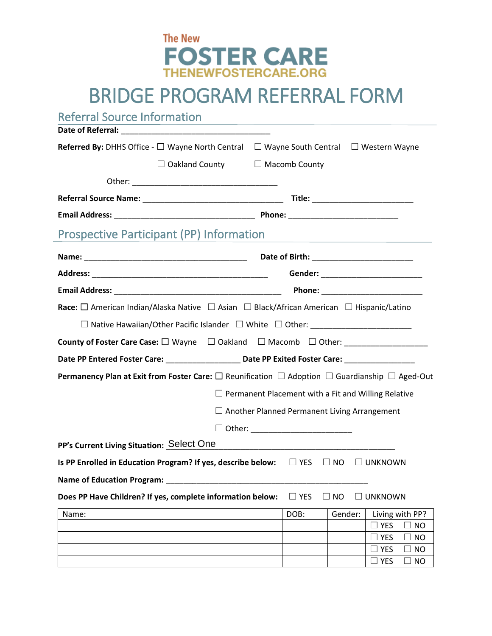

## BRIDGE PROGRAM REFERRAL FORM

Referral Source Information

| Date of Referral: The contract of Referral contract of the contract of the contract of the contract of the contract of the contract of the contract of the contract of the contract of the contract of the contract of the con |  |  |  |  |  |  |
|--------------------------------------------------------------------------------------------------------------------------------------------------------------------------------------------------------------------------------|--|--|--|--|--|--|
| <b>Referred By:</b> DHHS Office - $\Box$ Wayne North Central $\Box$ Wayne South Central $\Box$ Western Wayne                                                                                                                   |  |  |  |  |  |  |
| $\Box$ Oakland County $\Box$ Macomb County                                                                                                                                                                                     |  |  |  |  |  |  |
|                                                                                                                                                                                                                                |  |  |  |  |  |  |
|                                                                                                                                                                                                                                |  |  |  |  |  |  |
|                                                                                                                                                                                                                                |  |  |  |  |  |  |
| <b>Prospective Participant (PP) Information</b>                                                                                                                                                                                |  |  |  |  |  |  |
|                                                                                                                                                                                                                                |  |  |  |  |  |  |
| Gender: ___________________________                                                                                                                                                                                            |  |  |  |  |  |  |
|                                                                                                                                                                                                                                |  |  |  |  |  |  |
| <b>Race:</b> $\Box$ American Indian/Alaska Native $\Box$ Asian $\Box$ Black/African American $\Box$ Hispanic/Latino                                                                                                            |  |  |  |  |  |  |
|                                                                                                                                                                                                                                |  |  |  |  |  |  |
| County of Foster Care Case: □ Wayne □ Oakland □ Macomb □ Other: ________________                                                                                                                                               |  |  |  |  |  |  |
| Date PP Entered Foster Care: ___________________________________Date PP Exited Foster Care: __________________                                                                                                                 |  |  |  |  |  |  |
| <b>Permanency Plan at Exit from Foster Care:</b> $\square$ Reunification $\square$ Adoption $\square$ Guardianship $\square$ Aged-Out                                                                                          |  |  |  |  |  |  |
| $\Box$ Permanent Placement with a Fit and Willing Relative                                                                                                                                                                     |  |  |  |  |  |  |
| $\Box$ Another Planned Permanent Living Arrangement                                                                                                                                                                            |  |  |  |  |  |  |
|                                                                                                                                                                                                                                |  |  |  |  |  |  |
|                                                                                                                                                                                                                                |  |  |  |  |  |  |
| Is PP Enrolled in Education Program? If yes, describe below: $\square$ YES $\square$ NO $\square$ UNKNOWN                                                                                                                      |  |  |  |  |  |  |
|                                                                                                                                                                                                                                |  |  |  |  |  |  |
| Does PP Have Children? If yes, complete information below:<br>$\Box$ YES<br>$\Box$ NO<br>$\Box$ UNKNOWN                                                                                                                        |  |  |  |  |  |  |
| DOB:<br>Gender:<br>Living with PP?                                                                                                                                                                                             |  |  |  |  |  |  |
|                                                                                                                                                                                                                                |  |  |  |  |  |  |
| $\Box$ YES<br>$\Box$ NO                                                                                                                                                                                                        |  |  |  |  |  |  |
| $\Box$ NO<br>YES<br>$\Box$ YES<br>$\Box$ NO                                                                                                                                                                                    |  |  |  |  |  |  |
|                                                                                                                                                                                                                                |  |  |  |  |  |  |